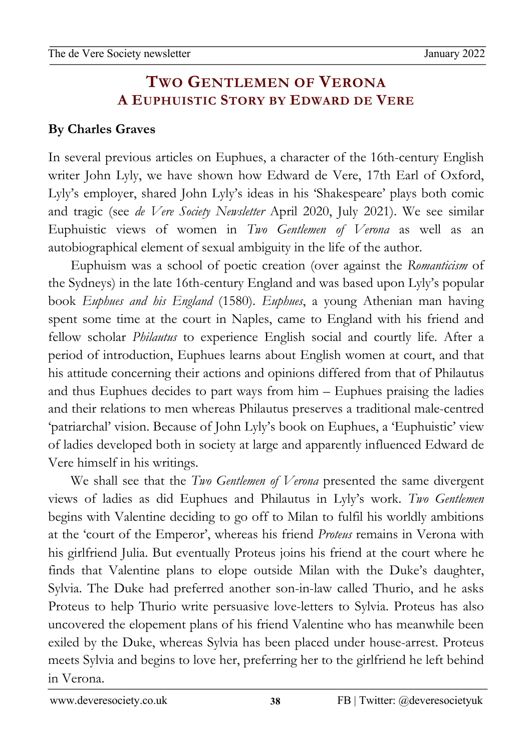## 02Apro 0 **TWO GENTLEMEN OF VERONA A EUPHUISTIC STORY BY EDWARD DE VERE**

## **By Charles Graves**

newslet the second second second second second second second second second second second second second second second second second second second second second second second second second second second second second second

In several previous articles on Euphues, a character of the 16th-century English writer John Lyly, we have shown how Edward de Vere, 17th Earl of Oxford, Lyly's employer, shared John Lyly's ideas in his 'Shakespeare' plays both comic and tragic (see *de Vere Society Newsletter* April 2020, July 2021). We see similar Euphuistic views of women in *Two Gentlemen of Verona* as well as an autobiographical element of sexual ambiguity in the life of the author.

Euphuism was a school of poetic creation (over against the *Romanticism* of the Sydneys) in the late 16th-century England and was based upon Lyly's popular book *Euphues and his England* (1580). *Euphues*, a young Athenian man having spent some time at the court in Naples, came to England with his friend and fellow scholar *Philautus* to experience English social and courtly life. After a period of introduction, Euphues learns about English women at court, and that his attitude concerning their actions and opinions differed from that of Philautus and thus Euphues decides to part ways from him – Euphues praising the ladies and their relations to men whereas Philautus preserves a traditional male-centred 'patriarchal' vision. Because of John Lyly's book on Euphues, a 'Euphuistic' view of ladies developed both in society at large and apparently influenced Edward de Vere himself in his writings.

We shall see that the *Two Gentlemen of Verona* presented the same divergent views of ladies as did Euphues and Philautus in Lyly's work. *Two Gentlemen* begins with Valentine deciding to go off to Milan to fulfil his worldly ambitions at the 'court of the Emperor', whereas his friend *Proteus* remains in Verona with his girlfriend Julia. But eventually Proteus joins his friend at the court where he finds that Valentine plans to elope outside Milan with the Duke's daughter, Sylvia. The Duke had preferred another son-in-law called Thurio, and he asks Proteus to help Thurio write persuasive love-letters to Sylvia. Proteus has also uncovered the elopement plans of his friend Valentine who has meanwhile been exiled by the Duke, whereas Sylvia has been placed under house-arrest. Proteus meets Sylvia and begins to love her, preferring her to the girlfriend he left behind in Verona.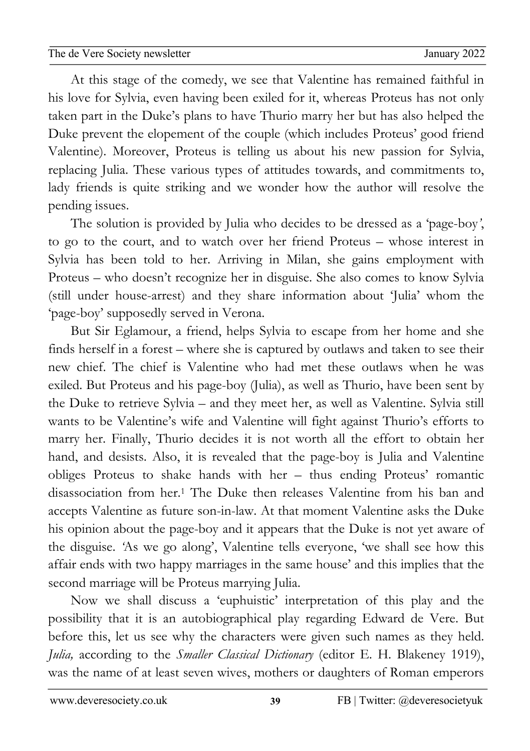02Apro 0 At this stage of the comedy, we see that Valentine has remained faithful in newslet the second second second second second second second second second second second second second second second second second second second second second second second second second second second second second second his love for Sylvia, even having been exiled for it, whereas Proteus has not only taken part in the Duke's plans to have Thurio marry her but has also helped the Duke prevent the elopement of the couple (which includes Proteus' good friend Valentine). Moreover, Proteus is telling us about his new passion for Sylvia, replacing Julia. These various types of attitudes towards, and commitments to, lady friends is quite striking and we wonder how the author will resolve the pending issues.

The solution is provided by Julia who decides to be dressed as a 'page-boy*'*, to go to the court, and to watch over her friend Proteus – whose interest in Sylvia has been told to her. Arriving in Milan, she gains employment with Proteus – who doesn't recognize her in disguise. She also comes to know Sylvia (still under house-arrest) and they share information about 'Julia' whom the 'page-boy' supposedly served in Verona.

But Sir Eglamour, a friend, helps Sylvia to escape from her home and she finds herself in a forest – where she is captured by outlaws and taken to see their new chief. The chief is Valentine who had met these outlaws when he was exiled. But Proteus and his page-boy (Julia), as well as Thurio, have been sent by the Duke to retrieve Sylvia – and they meet her, as well as Valentine. Sylvia still wants to be Valentine's wife and Valentine will fight against Thurio's efforts to marry her. Finally, Thurio decides it is not worth all the effort to obtain her hand, and desists. Also, it is revealed that the page-boy is Julia and Valentine obliges Proteus to shake hands with her – thus ending Proteus' romantic disassociation from her.1 The Duke then releases Valentine from his ban and accepts Valentine as future son-in-law. At that moment Valentine asks the Duke his opinion about the page-boy and it appears that the Duke is not yet aware of the disguise. *'*As we go along', Valentine tells everyone, 'we shall see how this affair ends with two happy marriages in the same house' and this implies that the second marriage will be Proteus marrying Julia.

Now we shall discuss a 'euphuistic' interpretation of this play and the possibility that it is an autobiographical play regarding Edward de Vere. But before this, let us see why the characters were given such names as they held. *Julia,* according to the *Smaller Classical Dictionary* (editor E. H. Blakeney 1919), was the name of at least seven wives, mothers or daughters of Roman emperors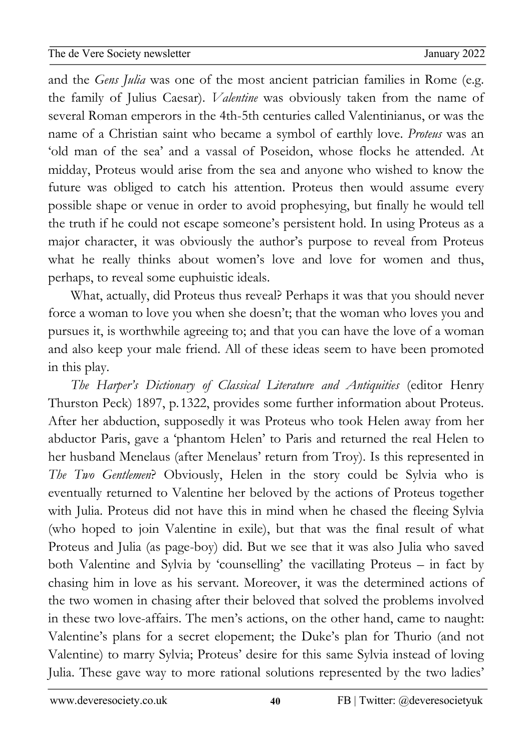02Apro and the *Gens Julia* was one of the most ancient patrician families in Rome (e.g. newslet the second second second second second second second second second second second second second second second second second second second second second second second second second second second second second second the family of Julius Caesar). *Valentine* was obviously taken from the name of several Roman emperors in the 4th-5th centuries called Valentinianus, or was the name of a Christian saint who became a symbol of earthly love. *Proteus* was an 'old man of the sea' and a vassal of Poseidon, whose flocks he attended. At midday, Proteus would arise from the sea and anyone who wished to know the future was obliged to catch his attention. Proteus then would assume every possible shape or venue in order to avoid prophesying, but finally he would tell the truth if he could not escape someone's persistent hold. In using Proteus as a major character, it was obviously the author's purpose to reveal from Proteus what he really thinks about women's love and love for women and thus, perhaps, to reveal some euphuistic ideals.

What, actually, did Proteus thus reveal? Perhaps it was that you should never force a woman to love you when she doesn't; that the woman who loves you and pursues it, is worthwhile agreeing to; and that you can have the love of a woman and also keep your male friend. All of these ideas seem to have been promoted in this play.

*The Harper's Dictionary of Classical Literature and Antiquities* (editor Henry Thurston Peck) 1897, p.1322, provides some further information about Proteus. After her abduction, supposedly it was Proteus who took Helen away from her abductor Paris, gave a 'phantom Helen' to Paris and returned the real Helen to her husband Menelaus (after Menelaus' return from Troy). Is this represented in *The Two Gentlemen*? Obviously, Helen in the story could be Sylvia who is eventually returned to Valentine her beloved by the actions of Proteus together with Julia. Proteus did not have this in mind when he chased the fleeing Sylvia (who hoped to join Valentine in exile), but that was the final result of what Proteus and Julia (as page-boy) did. But we see that it was also Julia who saved both Valentine and Sylvia by 'counselling' the vacillating Proteus – in fact by chasing him in love as his servant. Moreover, it was the determined actions of the two women in chasing after their beloved that solved the problems involved in these two love-affairs. The men's actions, on the other hand, came to naught: Valentine's plans for a secret elopement; the Duke's plan for Thurio (and not Valentine) to marry Sylvia; Proteus' desire for this same Sylvia instead of loving Julia. These gave way to more rational solutions represented by the two ladies'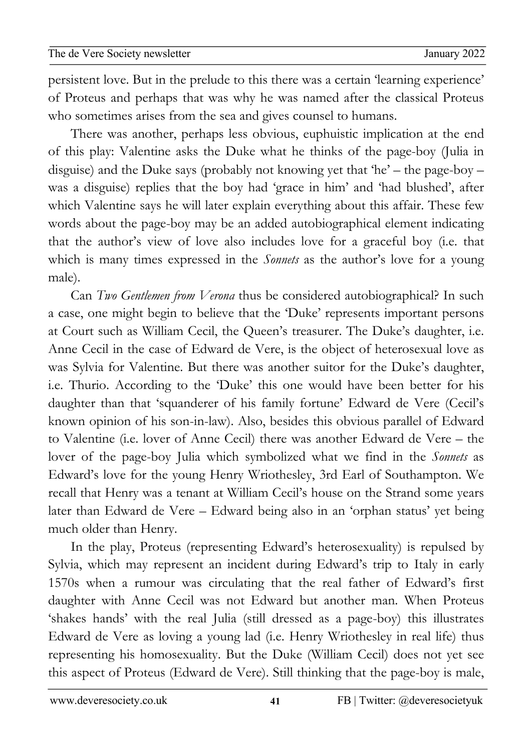02Apro 0 persistent love. But in the prelude to this there was a certain 'learning experience' newslet the second second second second second second second second second second second second second second second second second second second second second second second second second second second second second second of Proteus and perhaps that was why he was named after the classical Proteus who sometimes arises from the sea and gives counsel to humans.

There was another, perhaps less obvious, euphuistic implication at the end of this play: Valentine asks the Duke what he thinks of the page-boy (Julia in disguise) and the Duke says (probably not knowing yet that 'he' – the page-boy – was a disguise) replies that the boy had 'grace in him' and 'had blushed', after which Valentine says he will later explain everything about this affair. These few words about the page-boy may be an added autobiographical element indicating that the author's view of love also includes love for a graceful boy (i.e. that which is many times expressed in the *Sonnets* as the author's love for a young male).

Can *Two Gentlemen from Verona* thus be considered autobiographical? In such a case, one might begin to believe that the 'Duke' represents important persons at Court such as William Cecil, the Queen's treasurer. The Duke's daughter, i.e. Anne Cecil in the case of Edward de Vere, is the object of heterosexual love as was Sylvia for Valentine. But there was another suitor for the Duke's daughter, i.e. Thurio. According to the 'Duke' this one would have been better for his daughter than that 'squanderer of his family fortune' Edward de Vere (Cecil's known opinion of his son-in-law). Also, besides this obvious parallel of Edward to Valentine (i.e. lover of Anne Cecil) there was another Edward de Vere – the lover of the page-boy Julia which symbolized what we find in the *Sonnets* as Edward's love for the young Henry Wriothesley, 3rd Earl of Southampton. We recall that Henry was a tenant at William Cecil's house on the Strand some years later than Edward de Vere – Edward being also in an 'orphan status' yet being much older than Henry.

In the play, Proteus (representing Edward's heterosexuality) is repulsed by Sylvia, which may represent an incident during Edward's trip to Italy in early 1570s when a rumour was circulating that the real father of Edward's first daughter with Anne Cecil was not Edward but another man. When Proteus 'shakes hands' with the real Julia (still dressed as a page-boy) this illustrates Edward de Vere as loving a young lad (i.e. Henry Wriothesley in real life) thus representing his homosexuality. But the Duke (William Cecil) does not yet see this aspect of Proteus (Edward de Vere). Still thinking that the page-boy is male,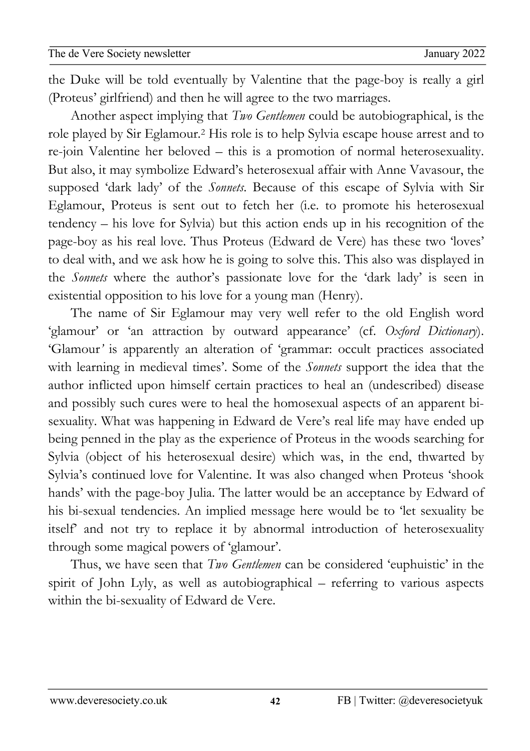02Apro the Duke will be told eventually by Valentine that the page-boy is really a girl newslet the second second second second second second second second second second second second second second second second second second second second second second second second second second second second second second (Proteus' girlfriend) and then he will agree to the two marriages.

Another aspect implying that *Two Gentlemen* could be autobiographical, is the role played by Sir Eglamour*.*<sup>2</sup> His role is to help Sylvia escape house arrest and to re-join Valentine her beloved – this is a promotion of normal heterosexuality. But also, it may symbolize Edward's heterosexual affair with Anne Vavasour, the supposed 'dark lady' of the *Sonnets*. Because of this escape of Sylvia with Sir Eglamour, Proteus is sent out to fetch her (i.e. to promote his heterosexual tendency – his love for Sylvia) but this action ends up in his recognition of the page-boy as his real love. Thus Proteus (Edward de Vere) has these two 'loves' to deal with, and we ask how he is going to solve this. This also was displayed in the *Sonnets* where the author's passionate love for the 'dark lady' is seen in existential opposition to his love for a young man (Henry).

The name of Sir Eglamour may very well refer to the old English word 'glamour' or 'an attraction by outward appearance' (cf. *Oxford Dictionary*). 'Glamour*'* is apparently an alteration of 'grammar: occult practices associated with learning in medieval times'. Some of the *Sonnets* support the idea that the author inflicted upon himself certain practices to heal an (undescribed) disease and possibly such cures were to heal the homosexual aspects of an apparent bisexuality. What was happening in Edward de Vere's real life may have ended up being penned in the play as the experience of Proteus in the woods searching for Sylvia (object of his heterosexual desire) which was, in the end, thwarted by Sylvia's continued love for Valentine. It was also changed when Proteus 'shook hands' with the page-boy Julia. The latter would be an acceptance by Edward of his bi-sexual tendencies. An implied message here would be to 'let sexuality be itself' and not try to replace it by abnormal introduction of heterosexuality through some magical powers of 'glamour'.

Thus, we have seen that *Two Gentlemen* can be considered 'euphuistic' in the spirit of John Lyly, as well as autobiographical – referring to various aspects within the bi-sexuality of Edward de Vere.